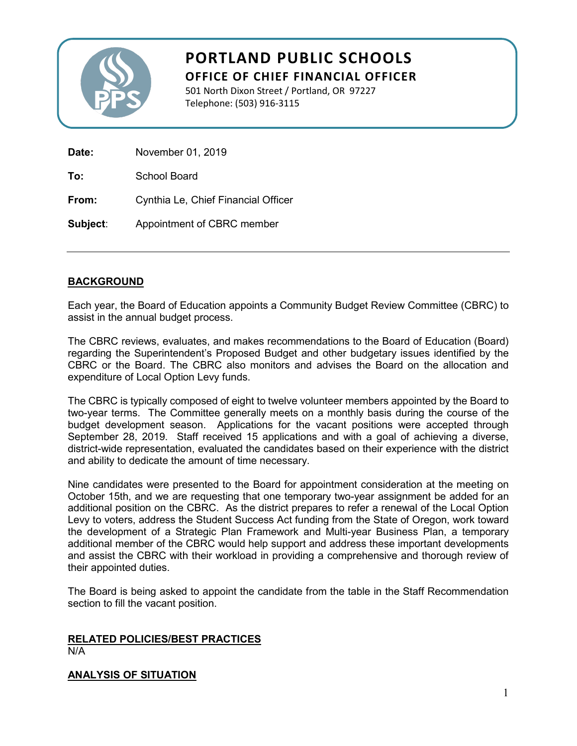

# **PORTLAND PUBLIC SCHOOLS OFFICE OF CHIEF FINANCIAL OFFICER**

501 North Dixon Street / Portland, OR 97227 Telephone: (503) 916-3115

| Date:    | November 01, 2019                   |  |  |
|----------|-------------------------------------|--|--|
| To:      | School Board                        |  |  |
| From:    | Cynthia Le, Chief Financial Officer |  |  |
| Subject: | Appointment of CBRC member          |  |  |

## **BACKGROUND**

Each year, the Board of Education appoints a Community Budget Review Committee (CBRC) to assist in the annual budget process.

The CBRC reviews, evaluates, and makes recommendations to the Board of Education (Board) regarding the Superintendent's Proposed Budget and other budgetary issues identified by the CBRC or the Board. The CBRC also monitors and advises the Board on the allocation and expenditure of Local Option Levy funds.

The CBRC is typically composed of eight to twelve volunteer members appointed by the Board to two-year terms. The Committee generally meets on a monthly basis during the course of the budget development season. Applications for the vacant positions were accepted through September 28, 2019. Staff received 15 applications and with a goal of achieving a diverse, district-wide representation, evaluated the candidates based on their experience with the district and ability to dedicate the amount of time necessary.

Nine candidates were presented to the Board for appointment consideration at the meeting on October 15th, and we are requesting that one temporary two-year assignment be added for an additional position on the CBRC. As the district prepares to refer a renewal of the Local Option Levy to voters, address the Student Success Act funding from the State of Oregon, work toward the development of a Strategic Plan Framework and Multi-year Business Plan, a temporary additional member of the CBRC would help support and address these important developments and assist the CBRC with their workload in providing a comprehensive and thorough review of their appointed duties.

The Board is being asked to appoint the candidate from the table in the Staff Recommendation section to fill the vacant position.

## **RELATED POLICIES/BEST PRACTICES**

N/A

## **ANALYSIS OF SITUATION**